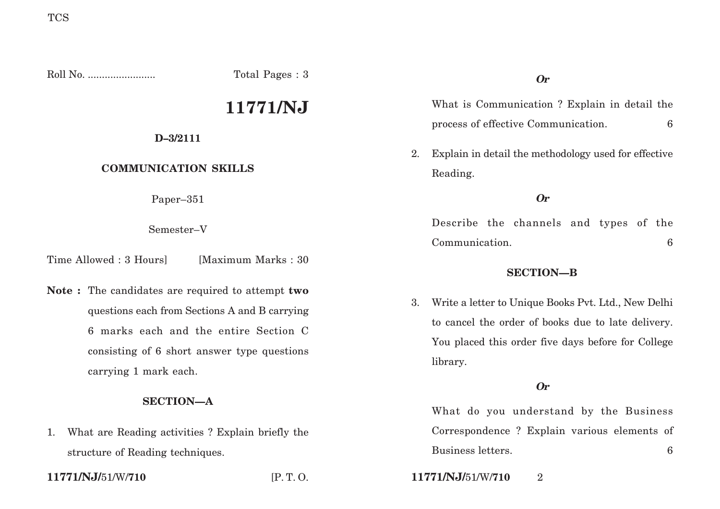Roll No. ........................ Total Pages : 3

# **11771/NJ**

## **D–3/2111**

# **COMMUNICATION SKILLS**

Paper–351

Semester–V

Time Allowed : 3 Hoursl [Maximum Marks : 30]

**Note :** The candidates are required to attempt **two** questions each from Sections A and B carrying 6 marks each and the entire Section C consisting of 6 short answer type questions carrying 1 mark each.

# **SECTION—A**

1. What are Reading activities ? Explain briefly the structure of Reading techniques.

What is Communication ? Explain in detail the process of effective Communication. 6

2. Explain in detail the methodology used for effective Reading.

**Or**

Describe the channels and types of the Communication. 6

### **SECTION—B**

3. Write a letter to Unique Books Pvt. Ltd., New Delhi to cancel the order of books due to late delivery. You placed this order five days before for College library.

# **Or**

What do you understand by the Business Correspondence ? Explain various elements of Business letters. 6

**11771/NJ/**51/W/**710** [P. T. O. **11771/NJ/**51/W/**710** 2